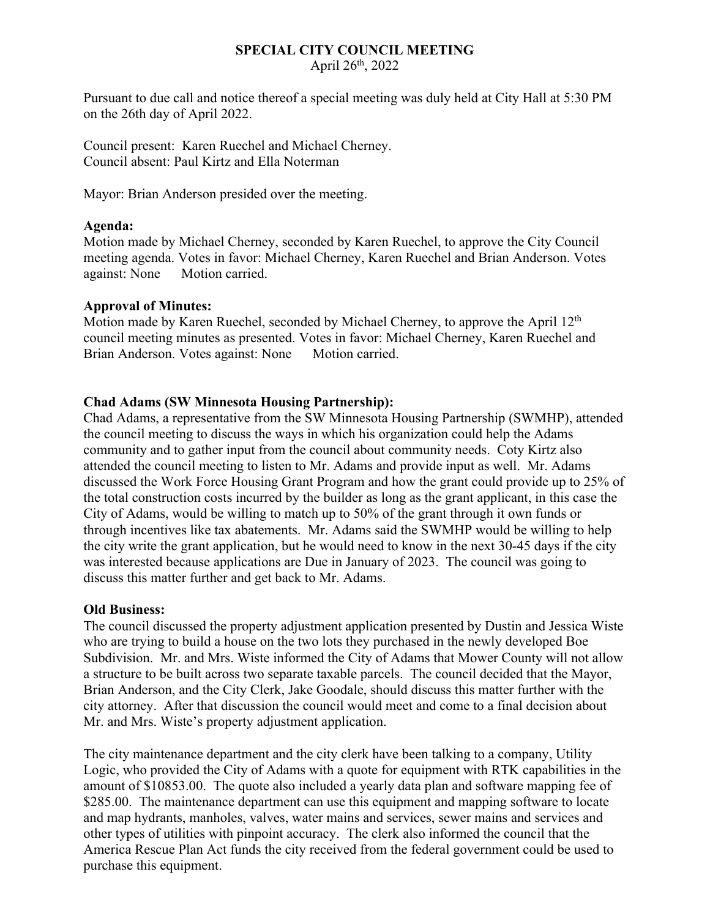#### **SPECIAL CITY COUNCIL MEETING** April  $26<sup>th</sup>$ , 2022

Pursuant to due call and notice thereof a special meeting was duly held at City Hall at 5:30 PM on the 26th day of April 2022.

Council present: Karen Ruechel and Michael Cherney. Council absent: Paul Kirtz and Ella Noterman

Mayor: Brian Anderson presided over the meeting.

# **Agenda:**

Motion made by Michael Cherney, seconded by Karen Ruechel, to approve the City Council meeting agenda. Votes in favor: Michael Cherney, Karen Ruechel and Brian Anderson. Votes against: None Motion carried.

### **Approval of Minutes:**

Motion made by Karen Ruechel, seconded by Michael Cherney, to approve the April 12<sup>th</sup> council meeting minutes as presented. Votes in favor: Michael Cherney, Karen Ruechel and Brian Anderson. Votes against: None Motion carried.

# **Chad Adams (SW Minnesota Housing Partnership):**

Chad Adams, a representative from the SW Minnesota Housing Partnership (SWMHP), attended the council meeting to discuss the ways in which his organization could help the Adams community and to gather input from the council about community needs. Coty Kirtz also attended the council meeting to listen to Mr. Adams and provide input as well. Mr. Adams discussed the Work Force Housing Grant Program and how the grant could provide up to 25% of the total construction costs incurred by the builder as long as the grant applicant, in this case the City of Adams, would be willing to match up to 50% of the grant through it own funds or through incentives like tax abatements. Mr. Adams said the SWMHP would be willing to help the city write the grant application, but he would need to know in the next 30-45 days if the city was interested because applications are Due in January of 2023. The council was going to discuss this matter further and get back to Mr. Adams.

### **Old Business:**

The council discussed the property adjustment application presented by Dustin and Jessica Wiste who are trying to build a house on the two lots they purchased in the newly developed Boe Subdivision. Mr. and Mrs. Wiste informed the City of Adams that Mower County will not allow a structure to be built across two separate taxable parcels. The council decided that the Mayor, Brian Anderson, and the City Clerk, Jake Goodale, should discuss this matter further with the city attorney. After that discussion the council would meet and come to a final decision about Mr. and Mrs. Wiste's property adjustment application.

The city maintenance department and the city clerk have been talking to a company, Utility Logic, who provided the City of Adams with a quote for equipment with RTK capabilities in the amount of \$10853.00. The quote also included a yearly data plan and software mapping fee of \$285.00. The maintenance department can use this equipment and mapping software to locate and map hydrants, manholes, valves, water mains and services, sewer mains and services and other types of utilities with pinpoint accuracy. The clerk also informed the council that the America Rescue Plan Act funds the city received from the federal government could be used to purchase this equipment.